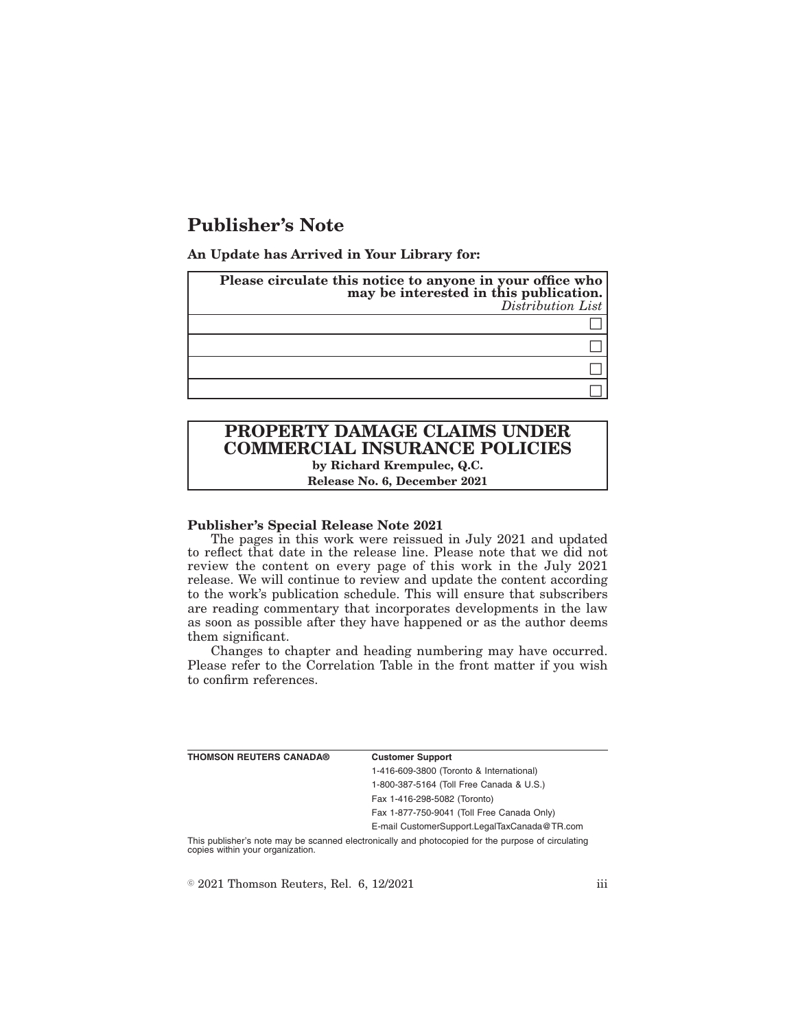# **Publisher's Note**

**An Update has Arrived in Your Library for:**

| Please circulate this notice to anyone in your office who<br>may be interested in this publication.<br>Distribution List |
|--------------------------------------------------------------------------------------------------------------------------|
|                                                                                                                          |
|                                                                                                                          |
|                                                                                                                          |
|                                                                                                                          |

## **PROPERTY DAMAGE CLAIMS UNDER COMMERCIAL INSURANCE POLICIES by Richard Krempulec, Q.C.**

**Release No. 6, December 2021**

#### **Publisher's Special Release Note 2021**

The pages in this work were reissued in July 2021 and updated to reflect that date in the release line. Please note that we did not review the content on every page of this work in the July 2021 release. We will continue to review and update the content according to the work's publication schedule. This will ensure that subscribers are reading commentary that incorporates developments in the law as soon as possible after they have happened or as the author deems them significant.

Changes to chapter and heading numbering may have occurred. Please refer to the Correlation Table in the front matter if you wish to confirm references.

| THOMSON REUTERS CANADA® | <b>Customer Support</b>                      |
|-------------------------|----------------------------------------------|
|                         | 1-416-609-3800 (Toronto & International)     |
|                         | 1-800-387-5164 (Toll Free Canada & U.S.)     |
|                         | Fax 1-416-298-5082 (Toronto)                 |
|                         | Fax 1-877-750-9041 (Toll Free Canada Only)   |
|                         | E-mail CustomerSupport.LegalTaxCanada@TR.com |
|                         |                                              |

This publisher's note may be scanned electronically and photocopied for the purpose of circulating copies within your organization.

 $\textdegree$  2021 Thomson Reuters, Rel. 6, 12/2021 iii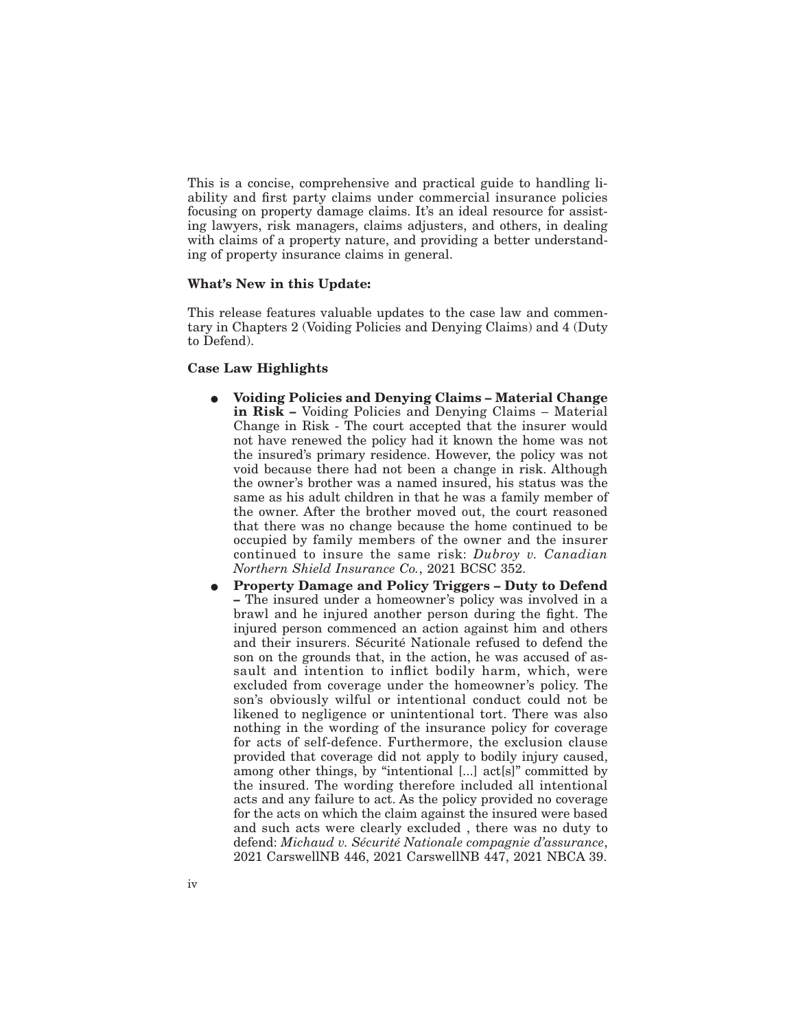This is a concise, comprehensive and practical guide to handling liability and first party claims under commercial insurance policies focusing on property damage claims. It's an ideal resource for assisting lawyers, risk managers, claims adjusters, and others, in dealing with claims of a property nature, and providing a better understanding of property insurance claims in general.

#### **What's New in this Update:**

This release features valuable updates to the case law and commentary in Chapters 2 (Voiding Policies and Denying Claims) and 4 (Duty to Defend).

#### **Case Law Highlights**

- E **Voiding Policies and Denying Claims Material Change in Risk –** Voiding Policies and Denying Claims – Material Change in Risk - The court accepted that the insurer would not have renewed the policy had it known the home was not the insured's primary residence. However, the policy was not void because there had not been a change in risk. Although the owner's brother was a named insured, his status was the same as his adult children in that he was a family member of the owner. After the brother moved out, the court reasoned that there was no change because the home continued to be occupied by family members of the owner and the insurer continued to insure the same risk: *Dubroy v. Canadian Northern Shield Insurance Co.*, 2021 BCSC 352.
- E **Property Damage and Policy Triggers Duty to Defend –** The insured under a homeowner's policy was involved in a brawl and he injured another person during the fight. The injured person commenced an action against him and others and their insurers. Sécurité Nationale refused to defend the son on the grounds that, in the action, he was accused of assault and intention to inflict bodily harm, which, were excluded from coverage under the homeowner's policy. The son's obviously wilful or intentional conduct could not be likened to negligence or unintentional tort. There was also nothing in the wording of the insurance policy for coverage for acts of self-defence. Furthermore, the exclusion clause provided that coverage did not apply to bodily injury caused, among other things, by ''intentional [...] act[s]'' committed by the insured. The wording therefore included all intentional acts and any failure to act. As the policy provided no coverage for the acts on which the claim against the insured were based and such acts were clearly excluded , there was no duty to defend: *Michaud v. Sécurité Nationale compagnie d'assurance*, 2021 CarswellNB 446, 2021 CarswellNB 447, 2021 NBCA 39.